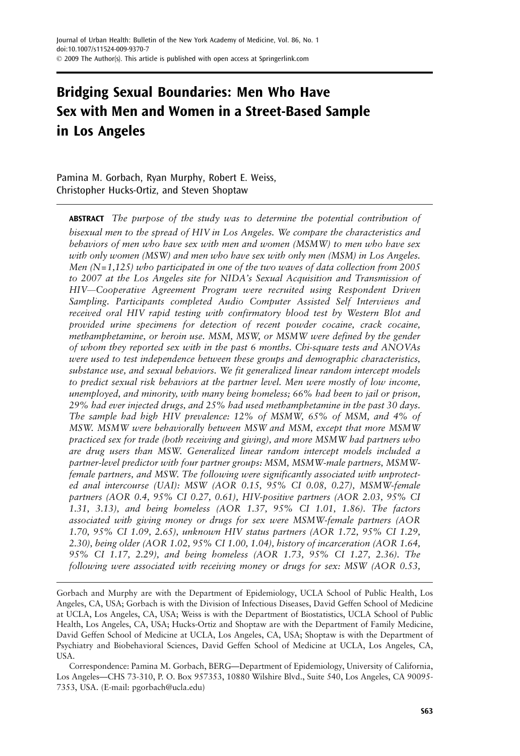# Bridging Sexual Boundaries: Men Who Have Sex with Men and Women in a Street-Based Sample in Los Angeles

Pamina M. Gorbach, Ryan Murphy, Robert E. Weiss, Christopher Hucks-Ortiz, and Steven Shoptaw

**ABSTRACT** The purpose of the study was to determine the potential contribution of bisexual men to the spread of HIV in Los Angeles. We compare the characteristics and behaviors of men who have sex with men and women (MSMW) to men who have sex with only women (MSW) and men who have sex with only men (MSM) in Los Angeles. Men  $(N=1,125)$  who participated in one of the two waves of data collection from 2005 to 2007 at the Los Angeles site for NIDA's Sexual Acquisition and Transmission of HIV—Cooperative Agreement Program were recruited using Respondent Driven Sampling. Participants completed Audio Computer Assisted Self Interviews and received oral HIV rapid testing with confirmatory blood test by Western Blot and provided urine specimens for detection of recent powder cocaine, crack cocaine, methamphetamine, or heroin use. MSM, MSW, or MSMW were defined by the gender of whom they reported sex with in the past 6 months. Chi-square tests and ANOVAs were used to test independence between these groups and demographic characteristics, substance use, and sexual behaviors. We fit generalized linear random intercept models to predict sexual risk behaviors at the partner level. Men were mostly of low income, unemployed, and minority, with many being homeless; 66% had been to jail or prison, 29% had ever injected drugs, and 25% had used methamphetamine in the past 30 days. The sample had high HIV prevalence: 12% of MSMW, 65% of MSM, and 4% of MSW. MSMW were behaviorally between MSW and MSM, except that more MSMW practiced sex for trade (both receiving and giving), and more MSMW had partners who are drug users than MSW. Generalized linear random intercept models included a partner-level predictor with four partner groups: MSM, MSMW-male partners, MSMWfemale partners, and MSW. The following were significantly associated with unprotected anal intercourse (UAI): MSW (AOR 0.15, 95% CI 0.08, 0.27), MSMW-female partners (AOR 0.4, 95% CI 0.27, 0.61), HIV-positive partners (AOR 2.03, 95% CI 1.31, 3.13), and being homeless (AOR 1.37, 95% CI 1.01, 1.86). The factors associated with giving money or drugs for sex were MSMW-female partners (AOR 1.70, 95% CI 1.09, 2.65), unknown HIV status partners (AOR 1.72, 95% CI 1.29, 2.30), being older (AOR 1.02, 95% CI 1.00, 1.04), history of incarceration (AOR 1.64, 95% CI 1.17, 2.29), and being homeless (AOR 1.73, 95% CI 1.27, 2.36). The following were associated with receiving money or drugs for sex: MSW (AOR 0.53,

Gorbach and Murphy are with the Department of Epidemiology, UCLA School of Public Health, Los Angeles, CA, USA; Gorbach is with the Division of Infectious Diseases, David Geffen School of Medicine at UCLA, Los Angeles, CA, USA; Weiss is with the Department of Biostatistics, UCLA School of Public Health, Los Angeles, CA, USA; Hucks-Ortiz and Shoptaw are with the Department of Family Medicine, David Geffen School of Medicine at UCLA, Los Angeles, CA, USA; Shoptaw is with the Department of Psychiatry and Biobehavioral Sciences, David Geffen School of Medicine at UCLA, Los Angeles, CA, USA.

Correspondence: Pamina M. Gorbach, BERG—Department of Epidemiology, University of California, Los Angeles—CHS 73-310, P. O. Box 957353, 10880 Wilshire Blvd., Suite 540, Los Angeles, CA 90095- 7353, USA. (E-mail: pgorbach@ucla.edu)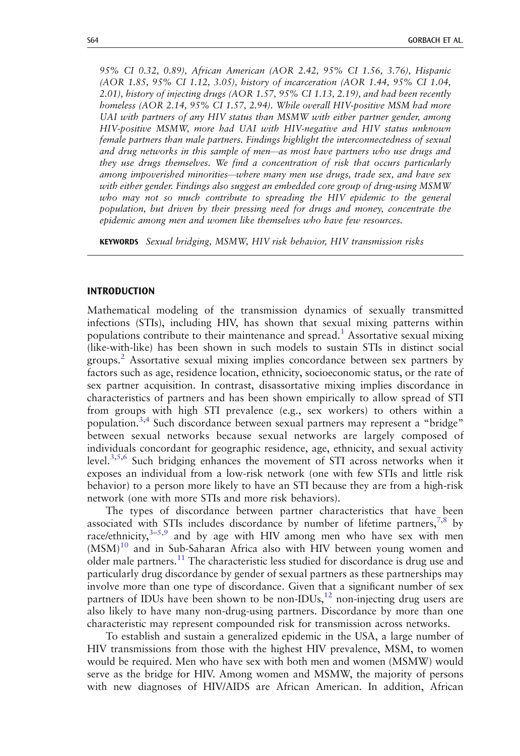95% CI 0.32, 0.89), African American (AOR 2.42, 95% CI 1.56, 3.76), Hispanic (AOR 1.85, 95% CI 1.12, 3.05), history of incarceration (AOR 1.44, 95% CI 1.04, 2.01), history of injecting drugs (AOR 1.57, 95% CI 1.13, 2.19), and had been recently homeless (AOR 2.14, 95% CI 1.57, 2.94). While overall HIV-positive MSM had more UAI with partners of any HIV status than MSMW with either partner gender, among HIV-positive MSMW, more had UAI with HIV-negative and HIV status unknown female partners than male partners. Findings highlight the interconnectedness of sexual and drug networks in this sample of men—as most have partners who use drugs and they use drugs themselves. We find a concentration of risk that occurs particularly among impoverished minorities—where many men use drugs, trade sex, and have sex with either gender. Findings also suggest an embedded core group of drug-using MSMW who may not so much contribute to spreading the HIV epidemic to the general population, but driven by their pressing need for drugs and money, concentrate the epidemic among men and women like themselves who have few resources.

KEYWORDS Sexual bridging, MSMW, HIV risk behavior, HIV transmission risks

#### INTRODUCTION

Mathematical modeling of the transmission dynamics of sexually transmitted infections (STIs), including HIV, has shown that sexual mixing patterns within populations contribute to their maintenance and spread.<sup>[1](#page-12-0)</sup> Assortative sexual mixing (like-with-like) has been shown in such models to sustain STIs in distinct social groups.[2](#page-12-0) Assortative sexual mixing implies concordance between sex partners by factors such as age, residence location, ethnicity, socioeconomic status, or the rate of sex partner acquisition. In contrast, disassortative mixing implies discordance in characteristics of partners and has been shown empirically to allow spread of STI from groups with high STI prevalence (e.g., sex workers) to others within a population.[3,4](#page-12-0) Such discordance between sexual partners may represent a "bridge" between sexual networks because sexual networks are largely composed of individuals concordant for geographic residence, age, ethnicity, and sexual activity level.[3,5,6](#page-12-0) Such bridging enhances the movement of STI across networks when it exposes an individual from a low-risk network (one with few STIs and little risk behavior) to a person more likely to have an STI because they are from a high-risk network (one with more STIs and more risk behaviors).

The types of discordance between partner characteristics that have been associated with STIs includes discordance by number of lifetime partners,  $7,8$  by race/ethnicity, $3-5,9$  $3-5,9$  $3-5,9$  and by age with HIV among men who have sex with men  $(MSM)^{10}$  $(MSM)^{10}$  $(MSM)^{10}$  and in Sub-Saharan Africa also with HIV between young women and older male partners.<sup>[11](#page-13-0)</sup> The characteristic less studied for discordance is drug use and particularly drug discordance by gender of sexual partners as these partnerships may involve more than one type of discordance. Given that a significant number of sex partners of IDUs have been shown to be non-IDUs,<sup>12</sup> non-injecting drug users are also likely to have many non-drug-using partners. Discordance by more than one characteristic may represent compounded risk for transmission across networks.

To establish and sustain a generalized epidemic in the USA, a large number of HIV transmissions from those with the highest HIV prevalence, MSM, to women would be required. Men who have sex with both men and women (MSMW) would serve as the bridge for HIV. Among women and MSMW, the majority of persons with new diagnoses of HIV/AIDS are African American. In addition, African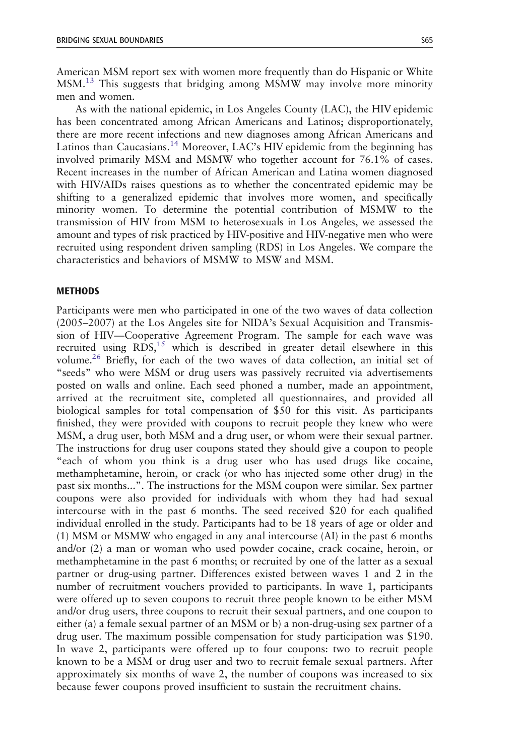American MSM report sex with women more frequently than do Hispanic or White MSM.[13](#page-13-0) This suggests that bridging among MSMW may involve more minority men and women.

As with the national epidemic, in Los Angeles County (LAC), the HIV epidemic has been concentrated among African Americans and Latinos; disproportionately, there are more recent infections and new diagnoses among African Americans and Latinos than Caucasians.<sup>[14](#page-13-0)</sup> Moreover, LAC's HIV epidemic from the beginning has involved primarily MSM and MSMW who together account for 76.1% of cases. Recent increases in the number of African American and Latina women diagnosed with HIV/AIDs raises questions as to whether the concentrated epidemic may be shifting to a generalized epidemic that involves more women, and specifically minority women. To determine the potential contribution of MSMW to the transmission of HIV from MSM to heterosexuals in Los Angeles, we assessed the amount and types of risk practiced by HIV-positive and HIV-negative men who were recruited using respondent driven sampling (RDS) in Los Angeles. We compare the characteristics and behaviors of MSMW to MSW and MSM.

### **METHODS**

Participants were men who participated in one of the two waves of data collection (2005–2007) at the Los Angeles site for NIDA's Sexual Acquisition and Transmission of HIV—Cooperative Agreement Program. The sample for each wave was recruited using  $RDS<sub>15</sub>$  $RDS<sub>15</sub>$  $RDS<sub>15</sub>$  which is described in greater detail elsewhere in this volume.<sup>[26](#page-13-0)</sup> Briefly, for each of the two waves of data collection, an initial set of "seeds" who were MSM or drug users was passively recruited via advertisements posted on walls and online. Each seed phoned a number, made an appointment, arrived at the recruitment site, completed all questionnaires, and provided all biological samples for total compensation of \$50 for this visit. As participants finished, they were provided with coupons to recruit people they knew who were MSM, a drug user, both MSM and a drug user, or whom were their sexual partner. The instructions for drug user coupons stated they should give a coupon to people "each of whom you think is a drug user who has used drugs like cocaine, methamphetamine, heroin, or crack (or who has injected some other drug) in the past six months...". The instructions for the MSM coupon were similar. Sex partner coupons were also provided for individuals with whom they had had sexual intercourse with in the past 6 months. The seed received \$20 for each qualified individual enrolled in the study. Participants had to be 18 years of age or older and (1) MSM or MSMW who engaged in any anal intercourse (AI) in the past 6 months and/or (2) a man or woman who used powder cocaine, crack cocaine, heroin, or methamphetamine in the past 6 months; or recruited by one of the latter as a sexual partner or drug-using partner. Differences existed between waves 1 and 2 in the number of recruitment vouchers provided to participants. In wave 1, participants were offered up to seven coupons to recruit three people known to be either MSM and/or drug users, three coupons to recruit their sexual partners, and one coupon to either (a) a female sexual partner of an MSM or b) a non-drug-using sex partner of a drug user. The maximum possible compensation for study participation was \$190. In wave 2, participants were offered up to four coupons: two to recruit people known to be a MSM or drug user and two to recruit female sexual partners. After approximately six months of wave 2, the number of coupons was increased to six because fewer coupons proved insufficient to sustain the recruitment chains.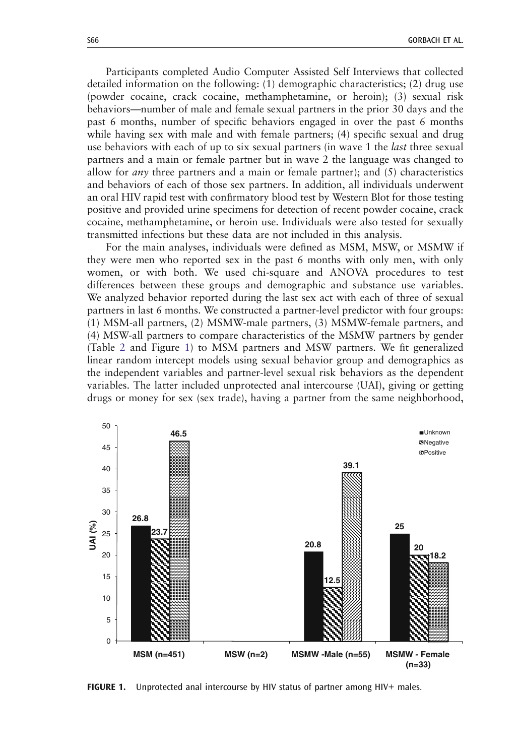<span id="page-3-0"></span>Participants completed Audio Computer Assisted Self Interviews that collected detailed information on the following: (1) demographic characteristics; (2) drug use (powder cocaine, crack cocaine, methamphetamine, or heroin); (3) sexual risk behaviors—number of male and female sexual partners in the prior 30 days and the past 6 months, number of specific behaviors engaged in over the past 6 months while having sex with male and with female partners; (4) specific sexual and drug use behaviors with each of up to six sexual partners (in wave 1 the *last* three sexual partners and a main or female partner but in wave 2 the language was changed to allow for *any* three partners and a main or female partner); and  $(5)$  characteristics and behaviors of each of those sex partners. In addition, all individuals underwent an oral HIV rapid test with confirmatory blood test by Western Blot for those testing positive and provided urine specimens for detection of recent powder cocaine, crack cocaine, methamphetamine, or heroin use. Individuals were also tested for sexually transmitted infections but these data are not included in this analysis.

For the main analyses, individuals were defined as MSM, MSW, or MSMW if they were men who reported sex in the past 6 months with only men, with only women, or with both. We used chi-square and ANOVA procedures to test differences between these groups and demographic and substance use variables. We analyzed behavior reported during the last sex act with each of three of sexual partners in last 6 months. We constructed a partner-level predictor with four groups: (1) MSM-all partners, (2) MSMW-male partners, (3) MSMW-female partners, and (4) MSW-all partners to compare characteristics of the MSMW partners by gender (Table [2](#page-8-0) and Figure 1) to MSM partners and MSW partners. We fit generalized linear random intercept models using sexual behavior group and demographics as the independent variables and partner-level sexual risk behaviors as the dependent variables. The latter included unprotected anal intercourse (UAI), giving or getting drugs or money for sex (sex trade), having a partner from the same neighborhood,



FIGURE 1. Unprotected anal intercourse by HIV status of partner among HIV+ males.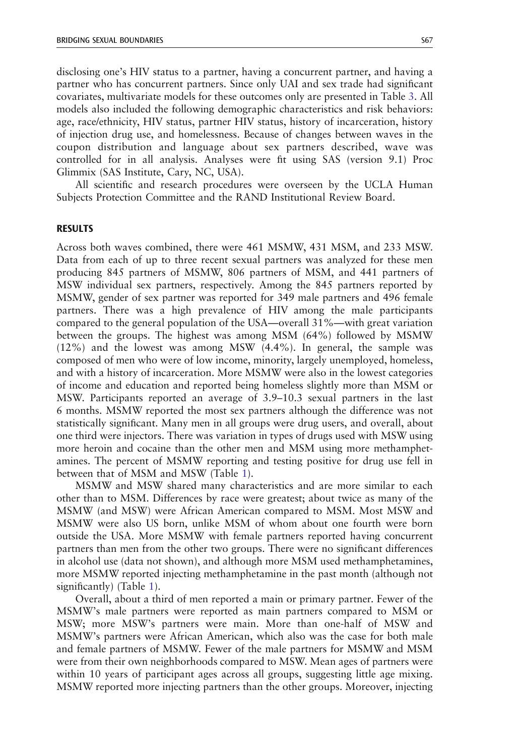disclosing one's HIV status to a partner, having a concurrent partner, and having a partner who has concurrent partners. Since only UAI and sex trade had significant covariates, multivariate models for these outcomes only are presented in Table [3.](#page-9-0) All models also included the following demographic characteristics and risk behaviors: age, race/ethnicity, HIV status, partner HIV status, history of incarceration, history of injection drug use, and homelessness. Because of changes between waves in the coupon distribution and language about sex partners described, wave was controlled for in all analysis. Analyses were fit using SAS (version 9.1) Proc Glimmix (SAS Institute, Cary, NC, USA).

All scientific and research procedures were overseen by the UCLA Human Subjects Protection Committee and the RAND Institutional Review Board.

#### RESULTS

Across both waves combined, there were 461 MSMW, 431 MSM, and 233 MSW. Data from each of up to three recent sexual partners was analyzed for these men producing 845 partners of MSMW, 806 partners of MSM, and 441 partners of MSW individual sex partners, respectively. Among the 845 partners reported by MSMW, gender of sex partner was reported for 349 male partners and 496 female partners. There was a high prevalence of HIV among the male participants compared to the general population of the USA—overall 31%—with great variation between the groups. The highest was among MSM (64%) followed by MSMW (12%) and the lowest was among MSW (4.4%). In general, the sample was composed of men who were of low income, minority, largely unemployed, homeless, and with a history of incarceration. More MSMW were also in the lowest categories of income and education and reported being homeless slightly more than MSM or MSW. Participants reported an average of 3.9–10.3 sexual partners in the last 6 months. MSMW reported the most sex partners although the difference was not statistically significant. Many men in all groups were drug users, and overall, about one third were injectors. There was variation in types of drugs used with MSW using more heroin and cocaine than the other men and MSM using more methamphetamines. The percent of MSMW reporting and testing positive for drug use fell in between that of MSM and MSW (Table [1\)](#page-5-0).

MSMW and MSW shared many characteristics and are more similar to each other than to MSM. Differences by race were greatest; about twice as many of the MSMW (and MSW) were African American compared to MSM. Most MSW and MSMW were also US born, unlike MSM of whom about one fourth were born outside the USA. More MSMW with female partners reported having concurrent partners than men from the other two groups. There were no significant differences in alcohol use (data not shown), and although more MSM used methamphetamines, more MSMW reported injecting methamphetamine in the past month (although not significantly) (Table [1](#page-5-0)).

Overall, about a third of men reported a main or primary partner. Fewer of the MSMW's male partners were reported as main partners compared to MSM or MSW; more MSW's partners were main. More than one-half of MSW and MSMW's partners were African American, which also was the case for both male and female partners of MSMW. Fewer of the male partners for MSMW and MSM were from their own neighborhoods compared to MSW. Mean ages of partners were within 10 years of participant ages across all groups, suggesting little age mixing. MSMW reported more injecting partners than the other groups. Moreover, injecting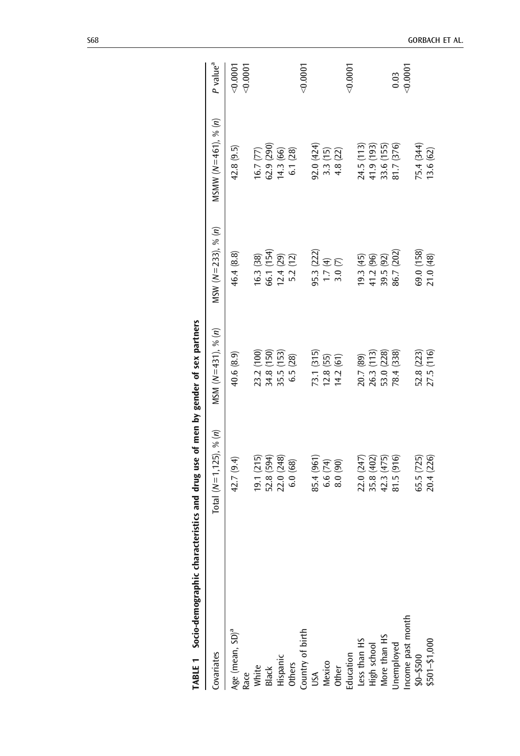<span id="page-5-0"></span>

| Covariates                                                                                                                                                                                  | Total ( $N=1,125$ ), % (n) | MSM $(N=431)$ , % $(n)$                | MSW $(N=233)$ , % $(n)$                          | MSMW $(N=461)$ , % $(n)$ | P value <sup>a</sup> |
|---------------------------------------------------------------------------------------------------------------------------------------------------------------------------------------------|----------------------------|----------------------------------------|--------------------------------------------------|--------------------------|----------------------|
| Age (mean, SD) <sup>a</sup>                                                                                                                                                                 | 42.7 (9.4)                 | 40.6 (8.9)                             | 46.4 (8.8)                                       | 42.8(9.5)                | 0.000                |
|                                                                                                                                                                                             |                            |                                        |                                                  |                          | < 0.0001             |
|                                                                                                                                                                                             | 19.1 (215)                 |                                        |                                                  | 16.7(77)                 |                      |
|                                                                                                                                                                                             | 52.8 (594)                 |                                        |                                                  |                          |                      |
|                                                                                                                                                                                             | 22.0 (248)                 | 23.2 (100)<br>34.8 (150)<br>35.5 (153) | 16.3 (38)<br>66.1 (154)<br>12.4 (29)<br>5.2 (12) | 62.9 (290)<br>14.3 (66)  |                      |
|                                                                                                                                                                                             | 6.0(68)                    | 6.5(28)                                |                                                  | 6.1(28)                  |                      |
|                                                                                                                                                                                             |                            |                                        |                                                  |                          | 0.0007               |
|                                                                                                                                                                                             | 85.4 (961                  | 73.1 (315)                             | 95.3 (222)                                       | 92.0 (424)               |                      |
|                                                                                                                                                                                             | 6.6(74)                    | $12.8(55)$<br>$14.2(61)$               | 1.7(4)                                           |                          |                      |
|                                                                                                                                                                                             | $(06)$ 0.8                 |                                        | 3.0(7)                                           | $3.3(15)$<br>4.8 (22)    |                      |
|                                                                                                                                                                                             |                            |                                        |                                                  |                          | < 0.0001             |
|                                                                                                                                                                                             | 22.0 (247)                 |                                        | 19.3(45)                                         | 24.5 (113)               |                      |
|                                                                                                                                                                                             | 35.8 (402)                 |                                        |                                                  | 41.9 (193)               |                      |
|                                                                                                                                                                                             | 42.3 (475)                 | 20.7 (89)<br>26.3 (113)<br>53.0 (228)  | 41.2 (96)<br>39.5 (92)                           | 33.6 (155)               |                      |
| Race<br>White<br>Black<br>Hispanic<br>Others<br>Country of birth<br>Other<br>Mexico<br>Education<br>Education<br>Ligh school<br>High school<br>More than HS<br>More than HS<br>More than HS | 81.5(916)                  | 78.4 (338)                             | 86.7 (202)                                       | 81.7 (376)               | 0.03                 |
|                                                                                                                                                                                             |                            |                                        |                                                  |                          | < 0.0001             |
| Income past month<br>\$0-\$500<br>\$501-\$1,000                                                                                                                                             | 65.5 (725)                 | 52.8 (223)                             | 69.0 (158)                                       | 75.4 (344)               |                      |
|                                                                                                                                                                                             | 20.4 (226)                 | 27.5 (116)                             | 21.0 (48)                                        | 13.6(62)                 |                      |

TABLE 1 Socio-demographic characteristics and drug use of men by gender of sex partners TABLE 1 Socio-demographic characteristics and drug use of men by gender of sex partners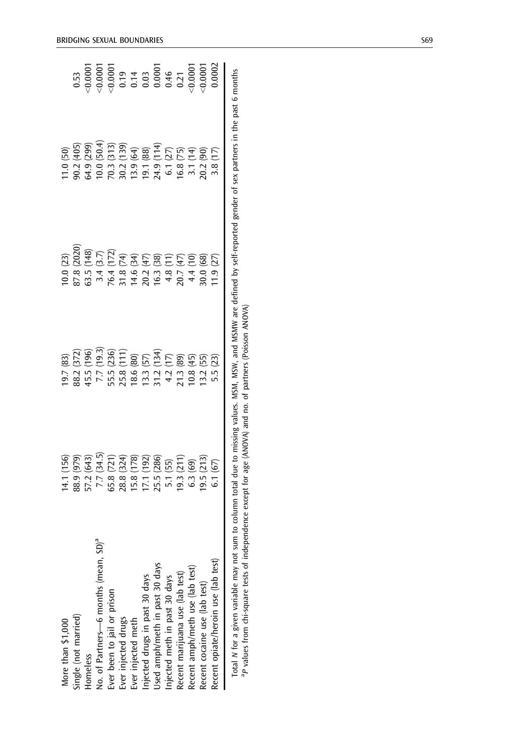| More than \$1,000                                |                                                                                                                                   |                                                                                                                                       |                                                                                                                                                                                                                                                                                                                 |                                                                                                                                                                 |                                                                                                                                                                                                                                                                                   |
|--------------------------------------------------|-----------------------------------------------------------------------------------------------------------------------------------|---------------------------------------------------------------------------------------------------------------------------------------|-----------------------------------------------------------------------------------------------------------------------------------------------------------------------------------------------------------------------------------------------------------------------------------------------------------------|-----------------------------------------------------------------------------------------------------------------------------------------------------------------|-----------------------------------------------------------------------------------------------------------------------------------------------------------------------------------------------------------------------------------------------------------------------------------|
| Single (not married)                             |                                                                                                                                   |                                                                                                                                       |                                                                                                                                                                                                                                                                                                                 |                                                                                                                                                                 |                                                                                                                                                                                                                                                                                   |
| Homeless                                         |                                                                                                                                   |                                                                                                                                       |                                                                                                                                                                                                                                                                                                                 |                                                                                                                                                                 |                                                                                                                                                                                                                                                                                   |
| No. of Partners—6 months (mean, SD) <sup>a</sup> |                                                                                                                                   |                                                                                                                                       |                                                                                                                                                                                                                                                                                                                 |                                                                                                                                                                 |                                                                                                                                                                                                                                                                                   |
| Ever been to jail or prison                      |                                                                                                                                   |                                                                                                                                       |                                                                                                                                                                                                                                                                                                                 |                                                                                                                                                                 |                                                                                                                                                                                                                                                                                   |
| Ever injected drugs                              |                                                                                                                                   |                                                                                                                                       |                                                                                                                                                                                                                                                                                                                 |                                                                                                                                                                 |                                                                                                                                                                                                                                                                                   |
| Ever injected meth                               |                                                                                                                                   |                                                                                                                                       |                                                                                                                                                                                                                                                                                                                 | 11.0 (50)<br>90.2 (405)<br>64.9 (299)<br>64.9 (1313)<br>70.3 (313)<br>70.3 (405)<br>70.3 (405)<br>70.2 (50)<br>70.2 (75)<br>70.2 (75)<br>70.2 (75)<br>70.2 (75) | $\begin{array}{l} 0.53 \\ 0.0001 \\ \hline 0.0001 \\ \hline 0.0001 \\ \hline 0.0001 \\ \hline 0.001 \\ \hline 0.01 \\ \hline 0.0001 \\ \hline 0.0001 \\ \hline 0.0001 \\ \hline 0.0001 \\ \hline 0.0001 \\ \hline 0.0002 \\ \hline 0.0002 \\ \hline 0.0002 \\ \hline \end{array}$ |
| njected drugs in past 30 days                    |                                                                                                                                   |                                                                                                                                       |                                                                                                                                                                                                                                                                                                                 |                                                                                                                                                                 |                                                                                                                                                                                                                                                                                   |
| Jsed amph/meth in past 30 days                   |                                                                                                                                   |                                                                                                                                       |                                                                                                                                                                                                                                                                                                                 |                                                                                                                                                                 |                                                                                                                                                                                                                                                                                   |
| njected meth in past 30 days                     |                                                                                                                                   |                                                                                                                                       |                                                                                                                                                                                                                                                                                                                 |                                                                                                                                                                 |                                                                                                                                                                                                                                                                                   |
| Recent marijuana use (lab test)                  |                                                                                                                                   |                                                                                                                                       |                                                                                                                                                                                                                                                                                                                 |                                                                                                                                                                 |                                                                                                                                                                                                                                                                                   |
| Recent amph/meth use (lab test)                  |                                                                                                                                   |                                                                                                                                       |                                                                                                                                                                                                                                                                                                                 |                                                                                                                                                                 |                                                                                                                                                                                                                                                                                   |
| Recent cocaine use (lab test)                    |                                                                                                                                   |                                                                                                                                       |                                                                                                                                                                                                                                                                                                                 |                                                                                                                                                                 |                                                                                                                                                                                                                                                                                   |
| Recent opiate/heroin use (lab test)              | 14.1 (156)<br>88.9 (979)<br>57.2 (643)<br>57.2 (643)<br>7.7 (34.5)<br>7.3 (34)<br>19.3 (213)<br>5.1 (55)<br>6.3 (213)<br>6.1 (67) | 19.7 (83)<br>88.2 (372)<br>45.5 (1966)<br>7.7 (19.3)<br>5.5 (310)<br>13.12 (13.4)<br>12.13 (89)<br>13.2 (55)<br>13.2 (55)<br>5.5 (23) | $\left.\begin{array}{l} 10.0 \; (23) \\ 0.0 \; (2020) \\ 63.5 \; (148) \\ 64.5 \; (147) \\ 75.4 \; (3.7) \\ 76.4 \; (172) \\ 77.4 \; (3.7) \\ 78.5 \; (47) \\ 79.5 \; (47) \\ 79.5 \; (47) \\ 79.5 \; (47) \\ 79.5 \; (47) \\ 79.5 \; (48) \\ 79.5 \; (47) \\ 79.5 \; (47) \\ 79.5 \; (47) \\ 79.5 \; (47) \\ $ |                                                                                                                                                                 |                                                                                                                                                                                                                                                                                   |
| $\ddot{\phantom{a}}$                             | $\frac{1}{2}$ , $\frac{1}{2}$ , $\frac{1}{2}$ , $\frac{1}{2}$ , $\frac{1}{2}$ , $\frac{1}{2}$ , $\frac{1}{2}$ , $\frac{1}{2}$     |                                                                                                                                       |                                                                                                                                                                                                                                                                                                                 | $\ddot{a}$                                                                                                                                                      |                                                                                                                                                                                                                                                                                   |

| ane in the not f ment<br>זי הי כפא הפרו<br>ミンドー<br>י האורים מהווה<br>nortod condo<br><br>- 22<br>nissing values. MSM, MSW, and MSMW are de | .                         |
|--------------------------------------------------------------------------------------------------------------------------------------------|---------------------------|
|                                                                                                                                            |                           |
|                                                                                                                                            | l                         |
|                                                                                                                                            |                           |
|                                                                                                                                            | ודות היה היה הל           |
|                                                                                                                                            |                           |
|                                                                                                                                            |                           |
|                                                                                                                                            | and (VIIU)                |
|                                                                                                                                            |                           |
|                                                                                                                                            | age in                    |
|                                                                                                                                            | $v_{\rm cont}$ for any in |
| to column total c                                                                                                                          | $\frac{1}{2}$             |
|                                                                                                                                            | endence ex                |
|                                                                                                                                            |                           |
| j                                                                                                                                          | j<br>Í<br>ć<br>j          |
|                                                                                                                                            |                           |
|                                                                                                                                            |                           |
|                                                                                                                                            |                           |
| ļ                                                                                                                                          |                           |
| ֧֧֧֧֧֚֚֚֚֚֚֚֚֚֚֚֚֚֚֚֚֚֚֚֚֡֡֡֓֝֓֡֓֡֝֓֡֬֓֝֓֓֓֓                                                                                               |                           |
|                                                                                                                                            |                           |
|                                                                                                                                            |                           |
| ļ                                                                                                                                          | ı                         |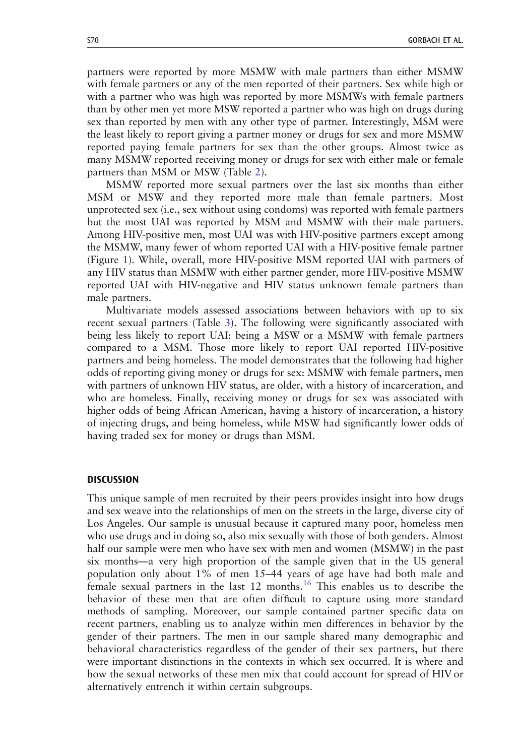partners were reported by more MSMW with male partners than either MSMW with female partners or any of the men reported of their partners. Sex while high or with a partner who was high was reported by more MSMWs with female partners than by other men yet more MSW reported a partner who was high on drugs during sex than reported by men with any other type of partner. Interestingly, MSM were the least likely to report giving a partner money or drugs for sex and more MSMW reported paying female partners for sex than the other groups. Almost twice as many MSMW reported receiving money or drugs for sex with either male or female partners than MSM or MSW (Table [2\)](#page-8-0).

MSMW reported more sexual partners over the last six months than either MSM or MSW and they reported more male than female partners. Most unprotected sex (i.e., sex without using condoms) was reported with female partners but the most UAI was reported by MSM and MSMW with their male partners. Among HIV-positive men, most UAI was with HIV-positive partners except among the MSMW, many fewer of whom reported UAI with a HIV-positive female partner (Figure [1](#page-3-0)). While, overall, more HIV-positive MSM reported UAI with partners of any HIV status than MSMW with either partner gender, more HIV-positive MSMW reported UAI with HIV-negative and HIV status unknown female partners than male partners.

Multivariate models assessed associations between behaviors with up to six recent sexual partners (Table [3\)](#page-9-0). The following were significantly associated with being less likely to report UAI: being a MSW or a MSMW with female partners compared to a MSM. Those more likely to report UAI reported HIV-positive partners and being homeless. The model demonstrates that the following had higher odds of reporting giving money or drugs for sex: MSMW with female partners, men with partners of unknown HIV status, are older, with a history of incarceration, and who are homeless. Finally, receiving money or drugs for sex was associated with higher odds of being African American, having a history of incarceration, a history of injecting drugs, and being homeless, while MSW had significantly lower odds of having traded sex for money or drugs than MSM.

#### **DISCUSSION**

This unique sample of men recruited by their peers provides insight into how drugs and sex weave into the relationships of men on the streets in the large, diverse city of Los Angeles. Our sample is unusual because it captured many poor, homeless men who use drugs and in doing so, also mix sexually with those of both genders. Almost half our sample were men who have sex with men and women (MSMW) in the past six months—a very high proportion of the sample given that in the US general population only about 1% of men 15–44 years of age have had both male and female sexual partners in the last  $12$  months.<sup>[16](#page-13-0)</sup> This enables us to describe the behavior of these men that are often difficult to capture using more standard methods of sampling. Moreover, our sample contained partner specific data on recent partners, enabling us to analyze within men differences in behavior by the gender of their partners. The men in our sample shared many demographic and behavioral characteristics regardless of the gender of their sex partners, but there were important distinctions in the contexts in which sex occurred. It is where and how the sexual networks of these men mix that could account for spread of HIV or alternatively entrench it within certain subgroups.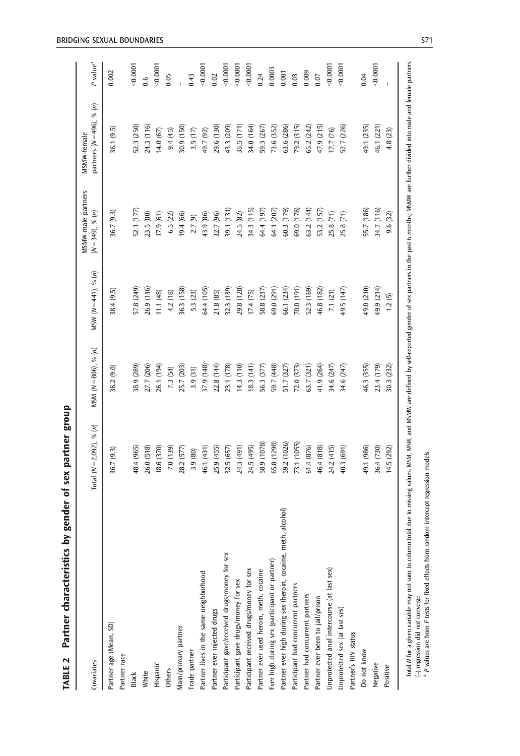| í<br>į<br>١                                                                    |
|--------------------------------------------------------------------------------|
| ֧֦֧ׅ֧֧֧ׅ֧ׅ֧ׅ֧֧ׅ֧ׅ֧ׅ֧ׅ֧ׅ֧֧֚֚֚֚֚֚֚֚֚֚֚֚֚֚֚֚֚֚֚֚֚֚֚֚֚֚֚֚֚֬֜֝֟֩֩֜֜֜֓֝֬֜֜֜֜֜֝֬<br>í |
| į<br>֧֦֚֝                                                                      |
| ו<br>ו                                                                         |
| i<br><b>Changed</b><br>١                                                       |
| į                                                                              |
| l<br>í<br>֕                                                                    |
|                                                                                |
| J<br>֦֧֦֧֦֧֦֧֧֦֧֚֚֚֚֚֚֚֚֚֚֚֚֚֚֚֬֡֡֡֡֡֡֬֝֬֝֓֡֬֝֬֓                               |

<span id="page-8-0"></span>

| Covariates                                                    | Total ( $N=2,092$ ), % (n) | MSM $(N=806)$ , % $(n)$ | MSW $(N=441)$ , % $(n)$ | MSMW-male partners<br>$(N=349), % (n)$ | partners $(N=496)$ , % $(n)$<br>MSMW-female | P value <sup>a</sup> |
|---------------------------------------------------------------|----------------------------|-------------------------|-------------------------|----------------------------------------|---------------------------------------------|----------------------|
| Partner age (Mean, SD)                                        | 36.7 (9.3)                 | 36.2 (9.0)              | 38.4 (9.5)              | 36.7 (9.3)                             | (9.5)<br>36.1                               | 0.002                |
| Partner race                                                  |                            |                         |                         |                                        |                                             |                      |
| <b>Black</b>                                                  | 18.4 (965)                 | 85 (289                 | 57.8 (249)              | 52.1 (177                              | 52.3 (250)                                  | 0.0007               |
| White                                                         | 26.0 (518)                 | 27.7 (206)              | 26.9 (116)              | 23.5 (80)                              | 24.3 (116)                                  | $0.\overline{6}$     |
| Hispanic                                                      | 18.6 (370)                 | 26.1 (194)              | 11.1(48)                | 17.9(61)                               | (67)<br>14.0                                | 0.0007               |
| Others                                                        | 7.0 (139)                  | 7.3 (54)                | 4.2 (18)                | 6.5(22)                                | 9.4 (45)                                    | 0.05                 |
| Main/primary partner                                          | 28.2 (577)                 | 25.7 (203)              | 36.3 (158)              | 19.4 (66)                              | 30.9 (150)                                  |                      |
| Trade partner                                                 | 3.9 (80)                   | 3.9 (31)                | 5.3 (23)                | 2.7(9)                                 | 3.5(17)                                     | 0.43                 |
| Partner lives in the same neighborhood                        | 46.1 (431)                 | 37.9 (148)              | 64.4 (105)              | 43.9 (86)                              | 49.7 (92)                                   | 0.0007               |
| Partner ever injected drugs                                   | 25.9 (455)                 | 22.8 (144)              | 21.8 (85)               | 32.7 (96)                              | 29.6 (130)                                  | 0.02                 |
| Participant gave/received drugs/money for sex                 | 32.5 (657                  | 23.1 (178)              | 32.3 (139)              | 39.1 (131)                             | (209)<br>43.3                               | 0.0001               |
| Participant gave drugs/money for sex                          | 24.3 (491)                 | 14.3(110)               | 29.8 (128)              | 24.5 (82)                              | 35.5 (171)                                  | 0.0001               |
| Participant received drugs/money for sex                      | 24.5 (495)                 | 18.3(141)               | 17.4(75)                | 34.3 (115)                             | 34.0 (164)                                  | 0.0001               |
| Partner ever used heroin, meth, cocaine                       | 58.9 (1078)                | 56.3 (377               | 58.8 (237)              | 64.4 (197)                             | 59.3 (267)                                  | 0.24                 |
| Ever high during sex (participant or partner)                 | 65.8 (1298)                | 59.7 (448)              | 59.0 (291)              | 64.1 (207)                             | 73.6 (352)                                  | 0.0003               |
| Partner ever high during sex (heroin, cocaine, meth, alcohol) | 59.2 (1026)                | 51.7 (327               | 66.1 (234)              | 60.3 (179)                             | 63.6 (286)                                  | 0.001                |
| Participant had concurrent partners                           | 73.1 (1055)                | 72.0 (373)              | 70.0 (191)              | 69.0 (176)                             | (315)<br>79.2                               | 0.03                 |
| Partner had concurrent partners                               | 61.4(876)                  | 63.7 (321)              | 52.3 (169)              | 63.2 (144)                             | (242)<br>65.2                               | 0.009                |
| Partner ever been to jail/prison                              | 46.4 (818)                 | 41.9 (264)              | 16.8 (182)              | 53.2 (157)                             | (215)<br>47.9                               | 0.07                 |
| Unprotected anal intercourse (at last sex)                    | (415)<br>24.2              | 34.6 (247)              | 7.1(21)                 | 25.8 (71)                              | (76)<br>17.7                                | 0.0001               |
| Unprotected sex (at last sex)                                 | (691)<br>40.3              | 34.6 (247)              | 49.5 (147)              | 25.8 (71)                              | (226)<br>52.7                               | 0.0007               |
| Partner's HIV status                                          |                            |                         |                         |                                        |                                             |                      |
| Do not know                                                   | 49.1 (986)                 | 46.3 (355)              | 49.0 (210)              | 55.7 (186)                             | 49.1 (235)                                  | 0.04                 |
| Negative                                                      | 36.4 (730)                 | 23.4 (179)              | 49.9 (214)              | 34.7 (116)                             | 46.1 (221)                                  | 0.0001               |
| Positive                                                      | 14.5 (292)                 | 30.3 (232)              | 1.2(5)                  | 9.6 (32)                               | 4.8 (23)                                    |                      |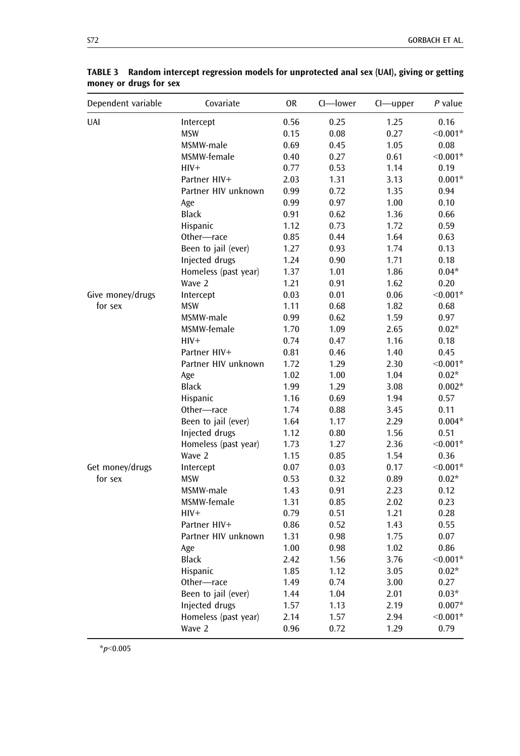| Dependent variable | Covariate            | <b>OR</b> | CI-lower | Cl-upper | P value    |
|--------------------|----------------------|-----------|----------|----------|------------|
| <b>UAI</b>         | Intercept            | 0.56      | 0.25     | 1.25     | 0.16       |
|                    | <b>MSW</b>           | 0.15      | 0.08     | 0.27     | $< 0.001*$ |
|                    | MSMW-male            | 0.69      | 0.45     | 1.05     | 0.08       |
|                    | MSMW-female          | 0.40      | 0.27     | 0.61     | $< 0.001*$ |
|                    | $HIV+$               | 0.77      | 0.53     | 1.14     | 0.19       |
|                    | Partner HIV+         | 2.03      | 1.31     | 3.13     | $0.001*$   |
|                    | Partner HIV unknown  | 0.99      | 0.72     | 1.35     | 0.94       |
|                    | Age                  | 0.99      | 0.97     | 1.00     | 0.10       |
|                    | <b>Black</b>         | 0.91      | 0.62     | 1.36     | 0.66       |
|                    | Hispanic             | 1.12      | 0.73     | 1.72     | 0.59       |
|                    | Other-race           | 0.85      | 0.44     | 1.64     | 0.63       |
|                    | Been to jail (ever)  | 1.27      | 0.93     | 1.74     | 0.13       |
|                    | Injected drugs       | 1.24      | 0.90     | 1.71     | 0.18       |
|                    | Homeless (past year) | 1.37      | 1.01     | 1.86     | $0.04*$    |
|                    | Wave 2               | 1.21      | 0.91     | 1.62     | 0.20       |
| Give money/drugs   | Intercept            | 0.03      | 0.01     | 0.06     | $< 0.001*$ |
| for sex            | <b>MSW</b>           | 1.11      | 0.68     | 1.82     | 0.68       |
|                    | MSMW-male            | 0.99      | 0.62     | 1.59     | 0.97       |
|                    | MSMW-female          | 1.70      | 1.09     | 2.65     | $0.02*$    |
|                    | $HIV+$               | 0.74      | 0.47     | 1.16     | 0.18       |
|                    | Partner HIV+         | 0.81      | 0.46     | 1.40     | 0.45       |
|                    | Partner HIV unknown  | 1.72      | 1.29     | 2.30     | $< 0.001*$ |
|                    | Age                  | 1.02      | 1.00     | 1.04     | $0.02*$    |
|                    | <b>Black</b>         | 1.99      | 1.29     | 3.08     | $0.002*$   |
|                    | Hispanic             | 1.16      | 0.69     | 1.94     | 0.57       |
|                    | Other-race           | 1.74      | 0.88     | 3.45     | 0.11       |
|                    | Been to jail (ever)  | 1.64      | 1.17     | 2.29     | $0.004*$   |
|                    | Injected drugs       | 1.12      | 0.80     | 1.56     | 0.51       |
|                    | Homeless (past year) | 1.73      | 1.27     | 2.36     | $< 0.001*$ |
|                    | Wave 2               | 1.15      | 0.85     | 1.54     | 0.36       |
| Get money/drugs    | Intercept            | 0.07      | 0.03     | 0.17     | $< 0.001*$ |
| for sex            | <b>MSW</b>           | 0.53      | 0.32     | 0.89     | $0.02*$    |
|                    | MSMW-male            | 1.43      | 0.91     | 2.23     | 0.12       |
|                    | MSMW-female          | 1.31      | 0.85     | 2.02     | 0.23       |
|                    | $HIV+$               | 0.79      | 0.51     | 1.21     | 0.28       |
|                    | Partner HIV+         | 0.86      | 0.52     | 1.43     | 0.55       |
|                    | Partner HIV unknown  | 1.31      | 0.98     | 1.75     | 0.07       |
|                    | Age                  | 1.00      | 0.98     | 1.02     | 0.86       |
|                    | <b>Black</b>         | 2.42      | 1.56     | 3.76     | $< 0.001*$ |
|                    | Hispanic             | 1.85      | 1.12     | 3.05     | $0.02*$    |
|                    | Other-race           | 1.49      | 0.74     | 3.00     | 0.27       |
|                    | Been to jail (ever)  | 1.44      | 1.04     | 2.01     | $0.03*$    |
|                    | Injected drugs       | 1.57      | 1.13     | 2.19     | $0.007*$   |
|                    | Homeless (past year) | 2.14      | 1.57     | 2.94     | $< 0.001*$ |
|                    | Wave 2               | 0.96      | 0.72     | 1.29     | 0.79       |

<span id="page-9-0"></span>TABLE 3 Random intercept regression models for unprotected anal sex (UAI), giving or getting money or drugs for sex

 $*_{p<0.005}$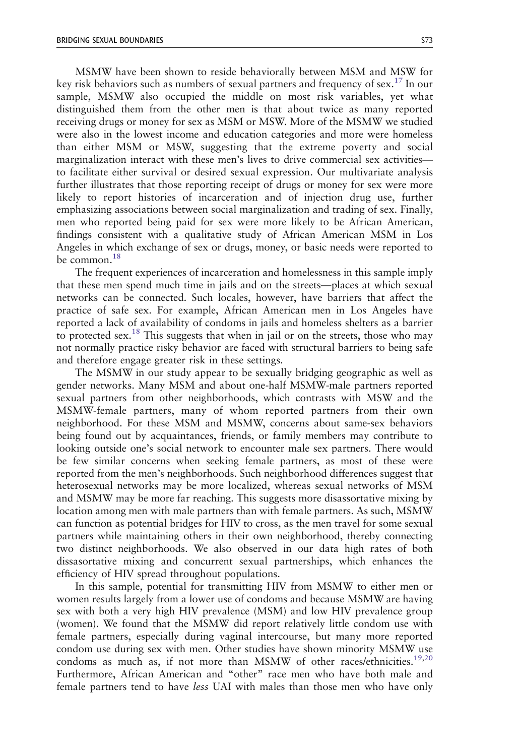MSMW have been shown to reside behaviorally between MSM and MSW for key risk behaviors such as numbers of sexual partners and frequency of sex.<sup>[17](#page-13-0)</sup> In our sample, MSMW also occupied the middle on most risk variables, yet what distinguished them from the other men is that about twice as many reported receiving drugs or money for sex as MSM or MSW. More of the MSMW we studied were also in the lowest income and education categories and more were homeless than either MSM or MSW, suggesting that the extreme poverty and social marginalization interact with these men's lives to drive commercial sex activities to facilitate either survival or desired sexual expression. Our multivariate analysis further illustrates that those reporting receipt of drugs or money for sex were more likely to report histories of incarceration and of injection drug use, further emphasizing associations between social marginalization and trading of sex. Finally, men who reported being paid for sex were more likely to be African American, findings consistent with a qualitative study of African American MSM in Los Angeles in which exchange of sex or drugs, money, or basic needs were reported to be common.<sup>18</sup>

The frequent experiences of incarceration and homelessness in this sample imply that these men spend much time in jails and on the streets—places at which sexual networks can be connected. Such locales, however, have barriers that affect the practice of safe sex. For example, African American men in Los Angeles have reported a lack of availability of condoms in jails and homeless shelters as a barrier to protected sex.<sup>[18](#page-13-0)</sup> This suggests that when in jail or on the streets, those who may not normally practice risky behavior are faced with structural barriers to being safe and therefore engage greater risk in these settings.

The MSMW in our study appear to be sexually bridging geographic as well as gender networks. Many MSM and about one-half MSMW-male partners reported sexual partners from other neighborhoods, which contrasts with MSW and the MSMW-female partners, many of whom reported partners from their own neighborhood. For these MSM and MSMW, concerns about same-sex behaviors being found out by acquaintances, friends, or family members may contribute to looking outside one's social network to encounter male sex partners. There would be few similar concerns when seeking female partners, as most of these were reported from the men's neighborhoods. Such neighborhood differences suggest that heterosexual networks may be more localized, whereas sexual networks of MSM and MSMW may be more far reaching. This suggests more disassortative mixing by location among men with male partners than with female partners. As such, MSMW can function as potential bridges for HIV to cross, as the men travel for some sexual partners while maintaining others in their own neighborhood, thereby connecting two distinct neighborhoods. We also observed in our data high rates of both dissasortative mixing and concurrent sexual partnerships, which enhances the efficiency of HIV spread throughout populations.

In this sample, potential for transmitting HIV from MSMW to either men or women results largely from a lower use of condoms and because MSMW are having sex with both a very high HIV prevalence (MSM) and low HIV prevalence group (women). We found that the MSMW did report relatively little condom use with female partners, especially during vaginal intercourse, but many more reported condom use during sex with men. Other studies have shown minority MSMW use condoms as much as, if not more than MSMW of other races/ethnicities.<sup>[19,20](#page-13-0)</sup> Furthermore, African American and "other" race men who have both male and female partners tend to have less UAI with males than those men who have only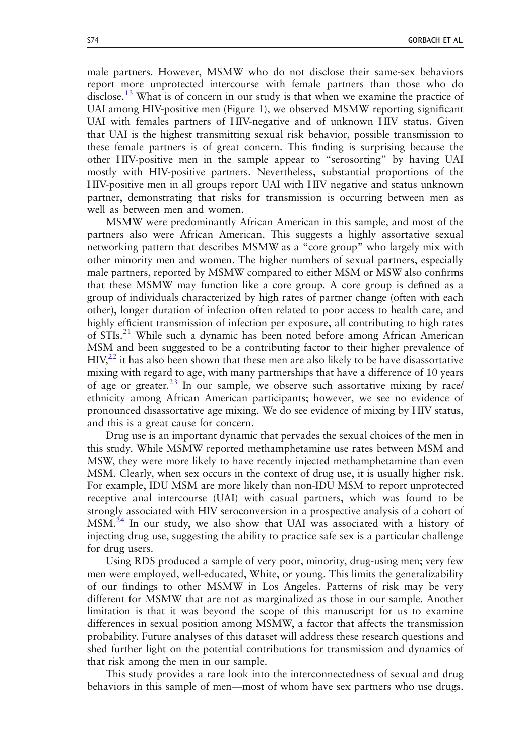male partners. However, MSMW who do not disclose their same-sex behaviors report more unprotected intercourse with female partners than those who do disclose.<sup>[13](#page-13-0)</sup> What is of concern in our study is that when we examine the practice of UAI among HIV-positive men (Figure [1](#page-3-0)), we observed MSMW reporting significant UAI with females partners of HIV-negative and of unknown HIV status. Given that UAI is the highest transmitting sexual risk behavior, possible transmission to these female partners is of great concern. This finding is surprising because the other HIV-positive men in the sample appear to "serosorting" by having UAI mostly with HIV-positive partners. Nevertheless, substantial proportions of the HIV-positive men in all groups report UAI with HIV negative and status unknown partner, demonstrating that risks for transmission is occurring between men as well as between men and women.

MSMW were predominantly African American in this sample, and most of the partners also were African American. This suggests a highly assortative sexual networking pattern that describes MSMW as a "core group" who largely mix with other minority men and women. The higher numbers of sexual partners, especially male partners, reported by MSMW compared to either MSM or MSW also confirms that these MSMW may function like a core group. A core group is defined as a group of individuals characterized by high rates of partner change (often with each other), longer duration of infection often related to poor access to health care, and highly efficient transmission of infection per exposure, all contributing to high rates of STIs.<sup>[21](#page-13-0)</sup> While such a dynamic has been noted before among African American MSM and been suggested to be a contributing factor to their higher prevalence of  $HIV<sub>1</sub><sup>22</sup>$  it has also been shown that these men are also likely to be have disassortative mixing with regard to age, with many partnerships that have a difference of 10 years of age or greater.<sup>[23](#page-13-0)</sup> In our sample, we observe such assortative mixing by race/ ethnicity among African American participants; however, we see no evidence of pronounced disassortative age mixing. We do see evidence of mixing by HIV status, and this is a great cause for concern.

Drug use is an important dynamic that pervades the sexual choices of the men in this study. While MSMW reported methamphetamine use rates between MSM and MSW, they were more likely to have recently injected methamphetamine than even MSM. Clearly, when sex occurs in the context of drug use, it is usually higher risk. For example, IDU MSM are more likely than non-IDU MSM to report unprotected receptive anal intercourse (UAI) with casual partners, which was found to be strongly associated with HIV seroconversion in a prospective analysis of a cohort of MSM.[24](#page-13-0) In our study, we also show that UAI was associated with a history of injecting drug use, suggesting the ability to practice safe sex is a particular challenge for drug users.

Using RDS produced a sample of very poor, minority, drug-using men; very few men were employed, well-educated, White, or young. This limits the generalizability of our findings to other MSMW in Los Angeles. Patterns of risk may be very different for MSMW that are not as marginalized as those in our sample. Another limitation is that it was beyond the scope of this manuscript for us to examine differences in sexual position among MSMW, a factor that affects the transmission probability. Future analyses of this dataset will address these research questions and shed further light on the potential contributions for transmission and dynamics of that risk among the men in our sample.

This study provides a rare look into the interconnectedness of sexual and drug behaviors in this sample of men—most of whom have sex partners who use drugs.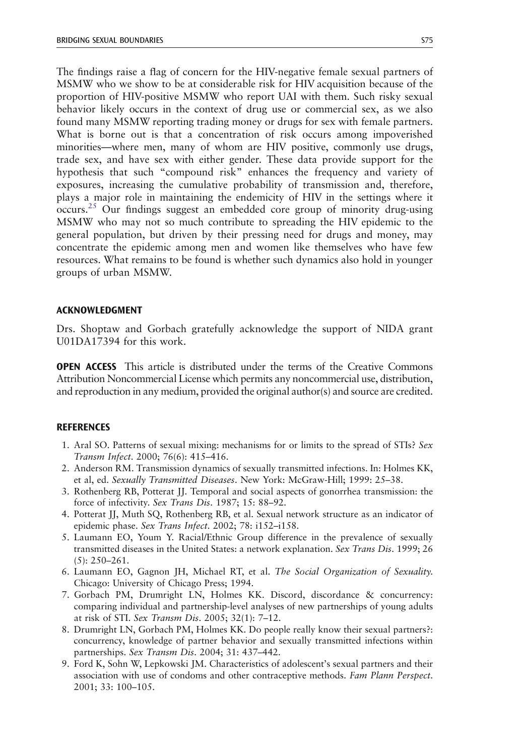<span id="page-12-0"></span>The findings raise a flag of concern for the HIV-negative female sexual partners of MSMW who we show to be at considerable risk for HIV acquisition because of the proportion of HIV-positive MSMW who report UAI with them. Such risky sexual behavior likely occurs in the context of drug use or commercial sex, as we also found many MSMW reporting trading money or drugs for sex with female partners. What is borne out is that a concentration of risk occurs among impoverished minorities—where men, many of whom are HIV positive, commonly use drugs, trade sex, and have sex with either gender. These data provide support for the hypothesis that such "compound risk" enhances the frequency and variety of exposures, increasing the cumulative probability of transmission and, therefore, plays a major role in maintaining the endemicity of HIV in the settings where it  $occurs.<sup>25</sup>$  $occurs.<sup>25</sup>$  $occurs.<sup>25</sup>$  Our findings suggest an embedded core group of minority drug-using MSMW who may not so much contribute to spreading the HIV epidemic to the general population, but driven by their pressing need for drugs and money, may concentrate the epidemic among men and women like themselves who have few resources. What remains to be found is whether such dynamics also hold in younger groups of urban MSMW.

#### ACKNOWLEDGMENT

Drs. Shoptaw and Gorbach gratefully acknowledge the support of NIDA grant U01DA17394 for this work.

OPEN ACCESS This article is distributed under the terms of the Creative Commons Attribution Noncommercial License which permits any noncommercial use, distribution, and reproduction in any medium, provided the original author(s) and source are credited.

## **REFERENCES**

- 1. Aral SO. Patterns of sexual mixing: mechanisms for or limits to the spread of STIs? Sex Transm Infect. 2000; 76(6): 415–416.
- 2. Anderson RM. Transmission dynamics of sexually transmitted infections. In: Holmes KK, et al, ed. Sexually Transmitted Diseases. New York: McGraw-Hill; 1999: 25–38.
- 3. Rothenberg RB, Potterat JJ. Temporal and social aspects of gonorrhea transmission: the force of infectivity. Sex Trans Dis. 1987; 15: 88–92.
- 4. Potterat JJ, Muth SQ, Rothenberg RB, et al. Sexual network structure as an indicator of epidemic phase. Sex Trans Infect. 2002; 78: i152–i158.
- 5. Laumann EO, Youm Y. Racial/Ethnic Group difference in the prevalence of sexually transmitted diseases in the United States: a network explanation. Sex Trans Dis. 1999; 26 (5): 250–261.
- 6. Laumann EO, Gagnon JH, Michael RT, et al. The Social Organization of Sexuality. Chicago: University of Chicago Press; 1994.
- 7. Gorbach PM, Drumright LN, Holmes KK. Discord, discordance & concurrency: comparing individual and partnership-level analyses of new partnerships of young adults at risk of STI. Sex Transm Dis. 2005; 32(1): 7–12.
- 8. Drumright LN, Gorbach PM, Holmes KK. Do people really know their sexual partners?: concurrency, knowledge of partner behavior and sexually transmitted infections within partnerships. Sex Transm Dis. 2004; 31: 437–442.
- 9. Ford K, Sohn W, Lepkowski JM. Characteristics of adolescent's sexual partners and their association with use of condoms and other contraceptive methods. Fam Plann Perspect. 2001; 33: 100–105.